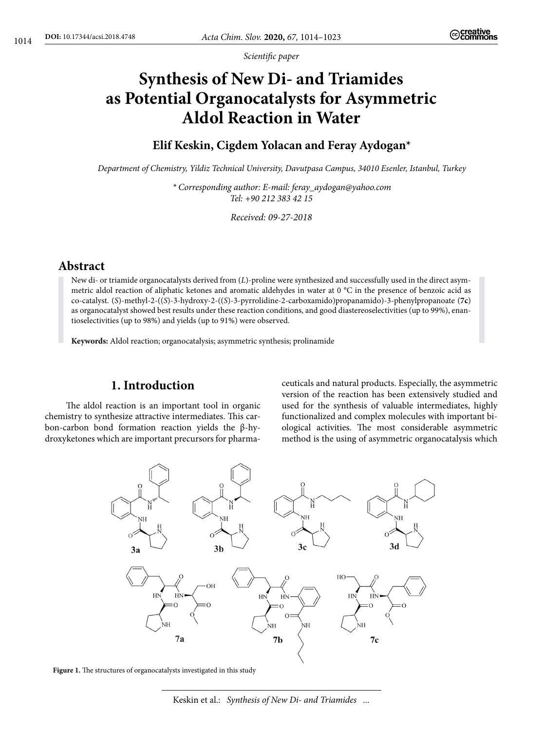*Scientific paper*

# **Synthesis of New Di- and Triamides as Potential Organocatalysts for Asymmetric Aldol Reaction in Water**

# **Elif Keskin, Cigdem Yolacan and Feray Aydogan\***

*Department of Chemistry, Yildiz Technical University, Davutpasa Campus, 34010 Esenler, Istanbul, Turkey*

*\* Corresponding author: E-mail: feray\_aydogan@yahoo.com Tel: +90 212 383 42 15*

*Received: 09-27-2018*

# **Abstract**

New di- or triamide organocatalysts derived from (*L*)-proline were synthesized and successfully used in the direct asymmetric aldol reaction of aliphatic ketones and aromatic aldehydes in water at 0 °C in the presence of benzoic acid as co-catalyst. (*S*)-methyl-2-((*S*)-3-hydroxy-2-((*S*)-3-pyrrolidine-2-carboxamido)propanamido)-3-phenylpropanoate (**7c**) as organocatalyst showed best results under these reaction conditions, and good diastereoselectivities (up to 99%), enantioselectivities (up to 98%) and yields (up to 91%) were observed.

**Keywords:** Aldol reaction; organocatalysis; asymmetric synthesis; prolinamide

# **1. Introduction**

The aldol reaction is an important tool in organic chemistry to synthesize attractive intermediates. This carbon-carbon bond formation reaction yields the β-hydroxyketones which are important precursors for pharmaceuticals and natural products. Especially, the asymmetric version of the reaction has been extensively studied and used for the synthesis of valuable intermediates, highly functionalized and complex molecules with important biological activities. The most considerable asymmetric method is the using of asymmetric organocatalysis which





Keskin et al.: *Synthesis of New Di- and Triamides ...*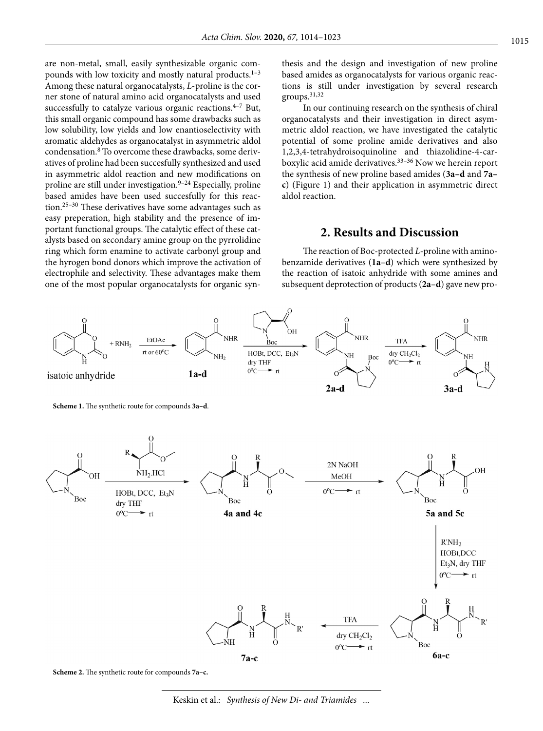are non-metal, small, easily synthesizable organic compounds with low toxicity and mostly natural products.<sup>1-3</sup> Among these natural organocatalysts, *L*-proline is the corner stone of natural amino acid organocatalysts and used successfully to catalyze various organic reactions. $4-7$  But, this small organic compound has some drawbacks such as low solubility, low yields and low enantioselectivity with aromatic aldehydes as organocatalyst in asymmetric aldol condensation.8 To overcome these drawbacks, some derivatives of proline had been succesfully synthesized and used in asymmetric aldol reaction and new modifications on proline are still under investigation. $9-24$  Especially, proline based amides have been used succesfully for this reaction.25–30 These derivatives have some advantages such as easy preperation, high stability and the presence of important functional groups. The catalytic effect of these catalysts based on secondary amine group on the pyrrolidine ring which form enamine to activate carbonyl group and the hyrogen bond donors which improve the activation of electrophile and selectivity. These advantages make them one of the most popular organocatalysts for organic synthesis and the design and investigation of new proline based amides as organocatalysts for various organic reactions is still under investigation by several research groups.31,32

In our continuing research on the synthesis of chiral organocatalysts and their investigation in direct asymmetric aldol reaction, we have investigated the catalytic potential of some proline amide derivatives and also 1,2,3,4-tetrahydroisoquinoline and thiazolidine-4-carboxylic acid amide derivatives.<sup>33-36</sup> Now we herein report the synthesis of new proline based amides (**3a–d** and **7a– c**) (Figure 1) and their application in asymmetric direct aldol reaction.

## **2. Results and Discussion**

The reaction of Boc-protected *L*-proline with aminobenzamide derivatives (**1a–d**) which were synthesized by the reaction of isatoic anhydride with some amines and subsequent deprotection of products (**2a–d**) gave new pro-



**Scheme 2.** The synthetic route for compounds **7a–c.**

Keskin et al.: *Synthesis of New Di- and Triamides ...*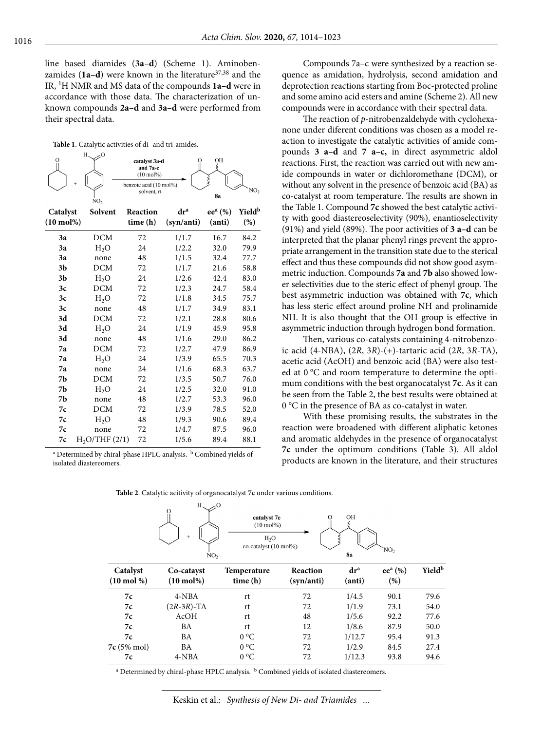line based diamides (**3a–d**) (Scheme 1). Aminobenzamides (1a-d) were known in the literature<sup>37,38</sup> and the IR, 1H NMR and MS data of the compounds **1a–d** were in accordance with those data. The characterization of unknown compounds **2a–d** and **3a–d** were performed from their spectral data.

**Table 1**. Catalytic activities of di- and tri-amides.

|                      | H.<br>O<br>NO <sub>2</sub> | catalyst 3a-d<br>and 7a-c<br>$(10 \text{ mol\%})$<br>benzoic acid (10 mol%)<br>solvent, rt | O               | OH<br>ξ<br>ξ<br>8a     | NO <sub>2</sub>           |
|----------------------|----------------------------|--------------------------------------------------------------------------------------------|-----------------|------------------------|---------------------------|
| Catalyst             | Solvent                    | Reaction                                                                                   | dr <sup>a</sup> | ee <sup>a</sup> $(\%)$ | <b>Yield</b> <sup>b</sup> |
| $(10 \text{ mol})\%$ |                            | time (h)                                                                                   | (syn/anti)      | (anti)                 | $(\%)$                    |
| 3a                   | <b>DCM</b>                 | 72                                                                                         | 1/1.7           | 16.7                   | 84.2                      |
| 3a                   | H <sub>2</sub> O           | 24                                                                                         | 1/2.2           | 32.0                   | 79.9                      |
| 3a                   | none                       | 48                                                                                         | 1/1.5           | 32.4                   | 77.7                      |
| 3 <sub>b</sub>       | DCM                        | 72                                                                                         | 1/1.7           | 21.6                   | 58.8                      |
| 3 <sub>b</sub>       | H <sub>2</sub> O           | 24                                                                                         | 1/2.6           | 42.4                   | 83.0                      |
| 3c                   | <b>DCM</b>                 | 72                                                                                         | 1/2.3           | 24.7                   | 58.4                      |
| 3c                   | $H_2O$                     | 72                                                                                         | 1/1.8           | 34.5                   | 75.7                      |
| 3c                   | none                       | 48                                                                                         | 1/1.7           | 34.9                   | 83.1                      |
| 3d                   | <b>DCM</b>                 | 72                                                                                         | 1/2.1           | 28.8                   | 80.6                      |
| 3d                   | H <sub>2</sub> O           | 24                                                                                         | 1/1.9           | 45.9                   | 95.8                      |
| 3d                   | none                       | 48                                                                                         | 1/1.6           | 29.0                   | 86.2                      |
| 7a                   | <b>DCM</b>                 | 72                                                                                         | 1/2.7           | 47.9                   | 86.9                      |
| 7a                   | H <sub>2</sub> O           | 24                                                                                         | 1/3.9           | 65.5                   | 70.3                      |
| 7a                   | none                       | 24                                                                                         | 1/1.6           | 68.3                   | 63.7                      |
| 7b                   | <b>DCM</b>                 | 72                                                                                         | 1/3.5           | 50.7                   | 76.0                      |
| 7b                   | H <sub>2</sub> O           | 24                                                                                         | 1/2.5           | 32.0                   | 91.0                      |
| 7 <sub>b</sub>       | none                       | 48                                                                                         | 1/2.7           | 53.3                   | 96.0                      |
| 7c                   | <b>DCM</b>                 | 72                                                                                         | 1/3.9           | 78.5                   | 52.0                      |
| 7c                   | $H_2O$                     | 48                                                                                         | 1/9.3           | 90.6                   | 89.4                      |
| 7c                   | none                       | 72                                                                                         | 1/4.7           | 87.5                   | 96.0                      |
| 7c                   | H <sub>2</sub> O/THF(2/1)  | 72                                                                                         | 1/5.6           | 89.4                   | 88.1                      |

<sup>a</sup> Determined by chiral-phase HPLC analysis. <sup>b</sup> Combined yields of isolated diastereomers.

Compounds 7a–c were synthesized by a reaction sequence as amidation, hydrolysis, second amidation and deprotection reactions starting from Boc-protected proline and some amino acid esters and amine (Scheme 2). All new compounds were in accordance with their spectral data.

The reaction of *p*-nitrobenzaldehyde with cyclohexanone under diferent conditions was chosen as a model reaction to investigate the catalytic activities of amide compounds **3 a–d** and **7 a–c,** in direct asymmetric aldol reactions. First, the reaction was carried out with new amide compounds in water or dichloromethane (DCM), or without any solvent in the presence of benzoic acid (BA) as co-catalyst at room temperature. The results are shown in the Table 1. Compound **7c** showed the best catalytic activity with good diastereoselectivity (90%), enantioselectivity (91%) and yield (89%). The poor activities of **3 a–d** can be interpreted that the planar phenyl rings prevent the appropriate arrangement in the transition state due to the sterical effect and thus these compounds did not show good asymmetric induction. Compounds **7a** and **7b** also showed lower selectivities due to the steric effect of phenyl group. The best asymmetric induction was obtained with **7c**, which has less steric effect around proline NH and prolinamide NH. It is also thought that the OH group is effective in asymmetric induction through hydrogen bond formation.

Then, various co-catalysts containing 4-nitrobenzoic acid (4-NBA), (2*R*, 3*R*)-(+)-tartaric acid (2*R*, 3*R*-TA), acetic acid (AcOH) and benzoic acid (BA) were also tested at 0 °C and room temperature to determine the optimum conditions with the best organocatalyst **7c**. As it can be seen from the Table 2, the best results were obtained at 0 °C in the presence of BA as co-catalyst in water.

With these promising results, the substrates in the reaction were broadened with different aliphatic ketones and aromatic aldehydes in the presence of organocatalyst **7c** under the optimum conditions (Table 3). All aldol products are known in the literature, and their structures

|                                    | $\Omega$<br>$+$<br>NO <sub>2</sub> | catalyst 7c<br>$(10 \text{ mol})\%$<br>H <sub>2</sub> O<br>co-catalyst (10 mol%) | Ω                      | ОH<br><b>8a</b>           | NO <sub>2</sub>            |                    |
|------------------------------------|------------------------------------|----------------------------------------------------------------------------------|------------------------|---------------------------|----------------------------|--------------------|
| Catalyst<br>$(10 \text{ mol } \%)$ | Co-catayst<br>$(10 \text{ mol})\%$ | <b>Temperature</b><br>time (h)                                                   | Reaction<br>(syn/anti) | dr <sup>a</sup><br>(anti) | ee <sup>a</sup> (%)<br>(%) | Yield <sup>b</sup> |
| 7c                                 | $4-NBA$                            | rt                                                                               | 72                     | 1/4.5                     | 90.1                       | 79.6               |
| 7c                                 | $(2R-3R)$ -TA                      | rt                                                                               | 72                     | 1/1.9                     | 73.1                       | 54.0               |
| 7c                                 | AcOH                               | rt                                                                               | 48                     | 1/5.6                     | 92.2                       | 77.6               |
| 7c                                 | BA                                 | rt                                                                               | 12                     | 1/8.6                     | 87.9                       | 50.0               |
| 7c                                 | BA                                 | $0^{\circ}C$                                                                     | 72                     | 1/12.7                    | 95.4                       | 91.3               |
| $7c(5% \text{ mol})$               | <b>BA</b>                          | $0^{\circ}$ C                                                                    | 72                     | 1/2.9                     | 84.5                       | 27.4               |
| 7c                                 | $4-NBA$                            | $0^{\circ}C$                                                                     | 72                     | 1/12.3                    | 93.8                       | 94.6               |

**Table 2**. Catalytic acitivity of organocatalyst **7c** under various conditions.

 $H$  $\overline{O}$ 

<sup>a</sup> Determined by chiral-phase HPLC analysis. <sup>b</sup> Combined yields of isolated diastereomers.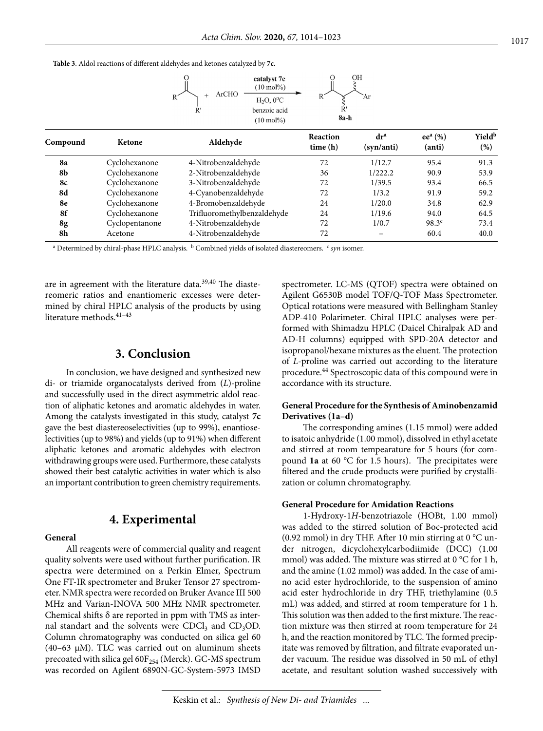**Table 3**. Aldol reactions of different aldehydes and ketones catalyzed by **7c.**



| dr <sup>a</sup><br>Reaction | ee <sup>a</sup> (%) | Yield <sup>b</sup> |
|-----------------------------|---------------------|--------------------|
| time(h)<br>(syn/anti)       | (anti)              | (%)                |
| 1/12.7                      | 95.4                | 91.3               |
| 1/222.2                     | 90.9                | 53.9               |
| 1/39.5                      | 93.4                | 66.5               |
| 1/3.2                       | 91.9                | 59.2               |
| 1/20.0                      | 34.8                | 62.9               |
| 1/19.6                      | 94.0                | 64.5               |
| 1/0.7                       | 98.3 <sup>c</sup>   | 73.4               |
| $-$                         | 60.4                | 40.0               |
|                             |                     |                    |

<sup>a</sup> Determined by chiral-phase HPLC analysis. <sup>b</sup> Combined yields of isolated diastereomers. *<sup>c</sup> syn* isomer.

are in agreement with the literature data.<sup>39,40</sup> The diastereomeric ratios and enantiomeric excesses were determined by chiral HPLC analysis of the products by using literature methods.41–43

## **3. Conclusion**

In conclusion, we have designed and synthesized new di- or triamide organocatalysts derived from (*L*)-proline and successfully used in the direct asymmetric aldol reaction of aliphatic ketones and aromatic aldehydes in water. Among the catalysts investigated in this study, catalyst **7c**  gave the best diastereoselectivities (up to 99%), enantioselectivities (up to 98%) and yields (up to 91%) when different aliphatic ketones and aromatic aldehydes with electron withdrawing groups were used. Furthermore, these catalysts showed their best catalytic activities in water which is also an important contribution to green chemistry requirements.

## **4. Experimental**

#### **General**

All reagents were of commercial quality and reagent quality solvents were used without further purification. IR spectra were determined on a Perkin Elmer, Spectrum One FT-IR spectrometer and Bruker Tensor 27 spectrometer. NMR spectra were recorded on Bruker Avance III 500 MHz and Varian-INOVA 500 MHz NMR spectrometer. Chemical shifts  $\delta$  are reported in ppm with TMS as internal standart and the solvents were  $CDCl<sub>3</sub>$  and  $CD<sub>3</sub>OD$ . Column chromatography was conducted on silica gel 60 (40–63 μM). TLC was carried out on aluminum sheets precoated with silica gel  $60F_{254}$  (Merck). GC-MS spectrum was recorded on Agilent 6890N-GC-System-5973 IMSD spectrometer. LC-MS (QTOF) spectra were obtained on Agilent G6530B model TOF/Q-TOF Mass Spectrometer. Optical rotations were measured with Bellingham Stanley ADP-410 Polarimeter. Chiral HPLC analyses were performed with Shimadzu HPLC (Daicel Chiralpak AD and AD-H columns) equipped with SPD-20A detector and isopropanol/hexane mixtures as the eluent. The protection of *L*-proline was carried out according to the literature procedure.44 Spectroscopic data of this compound were in accordance with its structure.

## **General Procedure for the Synthesis of Aminobenzamid Derivatives (1a–d)**

The corresponding amines (1.15 mmol) were added to isatoic anhydride (1.00 mmol), dissolved in ethyl acetate and stirred at room tempearature for 5 hours (for compound **1a** at 60 °C for 1.5 hours). The precipitates were filtered and the crude products were purified by crystallization or column chromatography.

#### **General Procedure for Amidation Reactions**

1-Hydroxy-1*H*-benzotriazole (HOBt, 1.00 mmol) was added to the stirred solution of Boc-protected acid (0.92 mmol) in dry THF. After 10 min stirring at  $0^{\circ}$ C under nitrogen, dicyclohexylcarbodiimide (DCC) (1.00 mmol) was added. The mixture was stirred at 0 °C for 1 h, and the amine (1.02 mmol) was added. In the case of amino acid ester hydrochloride, to the suspension of amino acid ester hydrochloride in dry THF, triethylamine (0.5 mL) was added, and stirred at room temperature for 1 h. This solution was then added to the first mixture. The reaction mixture was then stirred at room temperature for 24 h, and the reaction monitored by TLC. The formed precipitate was removed by filtration, and filtrate evaporated under vacuum. The residue was dissolved in 50 mL of ethyl acetate, and resultant solution washed successively with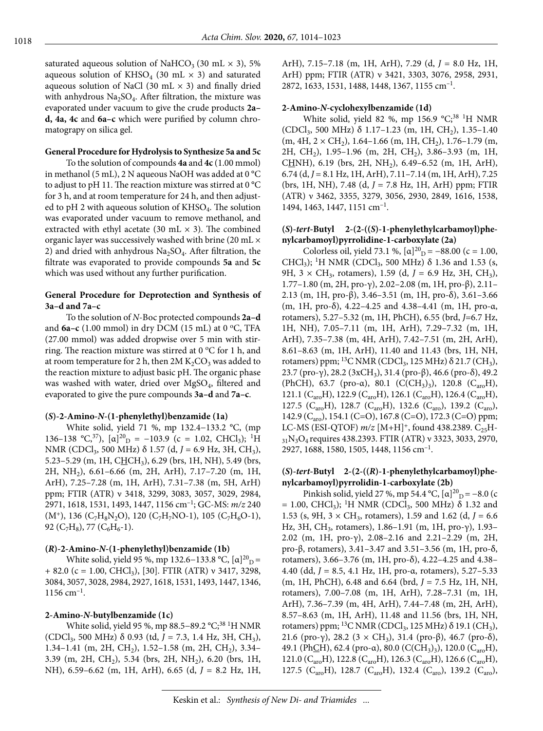saturated aqueous solution of NaHCO<sub>3</sub> (30 mL  $\times$  3), 5% aqueous solution of KHSO<sub>4</sub> (30 mL  $\times$  3) and saturated aqueous solution of NaCl (30 mL  $\times$  3) and finally dried with anhydrous  $Na<sub>2</sub>SO<sub>4</sub>$ . After filtration, the mixture was evaporated under vacuum to give the crude products **2a– d, 4a, 4c** and **6a–c** which were purified by column chromatograpy on silica gel.

#### **General Procedure for Hydrolysis to Synthesize 5a and 5c**

To the solution of compounds **4a** and **4c** (1.00 mmol) in methanol (5 mL), 2 N aqueous NaOH was added at 0 °C to adjust to pH 11. The reaction mixture was stirred at 0 °C for 3 h, and at room temperature for 24 h, and then adjusted to pH 2 with aqueous solution of KHSO<sub>4</sub>. The solution was evaporated under vacuum to remove methanol, and extracted with ethyl acetate (30 mL  $\times$  3). The combined organic layer was successively washed with brine (20 mL × 2) and dried with anhydrous  $Na<sub>2</sub>SO<sub>4</sub>$ . After filtration, the filtrate was evaporated to provide compounds **5a** and **5c** which was used without any further purification.

#### **General Procedure for Deprotection and Synthesis of 3a–d and 7a–c**

To the solution of *N*-Boc protected compounds **2a–d** and  $6a-c$  (1.00 mmol) in dry DCM (15 mL) at 0  $\rm{^{\circ}C}$ , TFA (27.00 mmol) was added dropwise over 5 min with stirring. The reaction mixture was stirred at  $0^{\circ}$ C for 1 h, and at room temperature for 2 h, then  $2M K_2CO_3$  was added to the reaction mixture to adjust basic pH. The organic phase was washed with water, dried over MgSO<sub>4</sub>, filtered and evaporated to give the pure compounds **3a–d** and **7a–c**.

#### **(***S***)-2-Amino-***N***-(1-phenylethyl)benzamide (1a)**

White solid, yield 71 %, mp 132.4−133.2 °C, (mp 136–138 °C,<sup>37</sup>),  $[\alpha]^{20}$ <sub>D</sub> = -103.9 (c = 1.02, CHCl<sub>3</sub>); <sup>1</sup>H NMR (CDCl<sub>3</sub>, 500 MHz) δ 1.57 (d, *J* = 6.9 Hz, 3H, CH<sub>3</sub>), 5.23–5.29 (m, 1H, CHCH<sub>3</sub>), 6.29 (brs, 1H, NH), 5.49 (brs, 2H, NH<sub>2</sub>), 6.61–6.66 (m, 2H, ArH), 7.17–7.20 (m, 1H, ArH), 7.25–7.28 (m, 1H, ArH), 7.31–7.38 (m, 5H, ArH) ppm; FTIR (ATR) ν 3418, 3299, 3083, 3057, 3029, 2984, 2971, 1618, 1531, 1493, 1447, 1156 cm–1; GC-MS: *m/z* 240  $(M^+)$ , 136 (C<sub>7</sub>H<sub>8</sub>N<sub>2</sub>O), 120 (C<sub>7</sub>H<sub>7</sub>NO-1), 105 (C<sub>7</sub>H<sub>6</sub>O-1), 92 (C<sub>7</sub>H<sub>8</sub>), 77 (C<sub>6</sub>H<sub>6</sub>-1).

#### **(***R***)-2-Amino-***N***-(1-phenylethyl)benzamide (1b)**

White solid, yield 95 %, mp 132.6–133.8 °C,  $[\alpha]^{20}$ <sub>D</sub> =  $+ 82.0$  (c = 1.00, CHCl<sub>3</sub>), [30]. FTIR (ATR) v 3417, 3298, 3084, 3057, 3028, 2984, 2927, 1618, 1531, 1493, 1447, 1346,  $1156$  cm<sup>-1</sup>.

#### **2-Amino-***N***-butylbenzamide (1c)**

White solid, yield 95 %, mp 88.5–89.2 °C;<sup>38 1</sup>H NMR (CDCl3, 500 MHz) δ 0.93 (td, *J* = 7.3, 1.4 Hz, 3H, CH3), 1.34–1.41 (m, 2H, CH<sub>2</sub>), 1.52–1.58 (m, 2H, CH<sub>2</sub>), 3.34– 3.39 (m, 2H, CH<sub>2</sub>), 5.34 (brs, 2H, NH<sub>2</sub>), 6.20 (brs, 1H, NH), 6.59–6.62 (m, 1H, ArH), 6.65 (d, *J* = 8.2 Hz, 1H, ArH), 7.15–7.18 (m, 1H, ArH), 7.29 (d, *J* = 8.0 Hz, 1H, ArH) ppm; FTIR (ATR) ν 3421, 3303, 3076, 2958, 2931, 2872, 1633, 1531, 1488, 1448, 1367, 1155 cm–1.

#### **2-Amino-***N***-cyclohexylbenzamide (1d)**

White solid, yield 82 %, mp 156.9  $^{\circ}C;^{38}$  <sup>1</sup>H NMR (CDCl<sub>3</sub>, 500 MHz)  $\delta$  1.17–1.23 (m, 1H, CH<sub>2</sub>), 1.35–1.40  $(m, 4H, 2 \times CH_2)$ , 1.64–1.66  $(m, 1H, CH_2)$ , 1.76–1.79  $(m,$ 2H, CH<sub>2</sub>), 1.95–1.96 (m, 2H, CH<sub>2</sub>), 3.86–3.93 (m, 1H, CHNH), 6.19 (brs, 2H, NH<sub>2</sub>), 6.49–6.52 (m, 1H, ArH), 6.74 (d, *J* = 8.1 Hz, 1H, ArH), 7.11–7.14 (m, 1H, ArH), 7.25 (brs, 1H, NH), 7.48 (d, *J* = 7.8 Hz, 1H, ArH) ppm; FTIR (ATR) ν 3462, 3355, 3279, 3056, 2930, 2849, 1616, 1538, 1494, 1463, 1447, 1151 cm–1.

#### **(***S***)-***tert***-Butyl 2-(2-((***S***)-1-phenylethylcarbamoyl)phenylcarbamoyl)pyrrolidine-1-carboxylate (2a)**

Colorless oil, yield 73.1 %,  $[\alpha]^{20}$ <sub>D</sub> = -88.00 (c = 1.00, CHCl<sub>3</sub>); <sup>1</sup>H NMR (CDCl<sub>3</sub>, 500 MHz) δ 1.36 and 1.53 (s, 9H,  $3 \times CH_3$ , rotamers), 1.59 (d,  $J = 6.9$  Hz, 3H, CH<sub>3</sub>), 1.77–1.80 (m, 2H, pro-γ), 2.02–2.08 (m, 1H, pro-β), 2.11– 2.13 (m, 1H, pro-β), 3.46–3.51 (m, 1H, pro-δ), 3.61–3.66 (m, 1H, pro-δ), 4.22–4.25 and 4.38–4.41 (m, 1H, pro-α, rotamers), 5.27–5.32 (m, 1H, PhCH), 6.55 (brd, *J*=6.7 Hz, 1H, NH), 7.05–7.11 (m, 1H, ArH), 7.29–7.32 (m, 1H, ArH), 7.35–7.38 (m, 4H, ArH), 7.42–7.51 (m, 2H, ArH), 8.61–8.63 (m, 1H, ArH), 11.40 and 11.43 (brs, 1H, NH, rotamers) ppm;  $^{13}$ C NMR (CDCl<sub>3</sub>, 125 MHz)  $\delta$  21.7 (CH<sub>3</sub>), 23.7 (pro-γ), 28.2 (3xCH<sub>3</sub>), 31.4 (pro-β), 46.6 (pro-δ), 49.2 (PhCH), 63.7 (pro-α), 80.1 (C(CH<sub>3</sub>)<sub>3</sub>), 120.8 (C<sub>aro</sub>H), 121.1 (C<sub>aro</sub>H), 122.9 (C<sub>aro</sub>H), 126.1 (C<sub>aro</sub>H), 126.4 (C<sub>aro</sub>H), 127.5 (C<sub>aro</sub>H), 128.7 (C<sub>aro</sub>H), 132.6 (C<sub>aro</sub>), 139.2 (C<sub>aro</sub>), 142.9 (C<sub>aro</sub>), 154.1 (C=O), 167.8 (C=O), 172.3 (C=O) ppm; LC-MS (ESI-QTOF)  $m/z$  [M+H]<sup>+</sup>, found 438.2389. C<sub>25</sub>H- $31\text{N}_3\text{O}_4$  requires 438.2393. FTIR (ATR) ν 3323, 3033, 2970, 2927, 1688, 1580, 1505, 1448, 1156 cm–1.

#### **(***S***)-***tert***-Butyl 2-(2-((***R***)-1-phenylethylcarbamoyl)phenylcarbamoyl)pyrrolidin-1-carboxylate (2b)**

Pinkish solid, yield 27 %, mp 54.4 °C,  $[\alpha]_{D}^{20} = -8.0$  (c = 1.00, CHCl<sub>3</sub>); <sup>1</sup>H NMR (CDCl<sub>3</sub>, 500 MHz) δ 1.32 and 1.53 (s, 9H,  $3 \times CH_3$ , rotamers), 1.59 and 1.62 (d,  $J = 6.6$ ) Hz, 3H, CH<sub>3</sub>, rotamers), 1.86-1.91 (m, 1H, pro-γ), 1.93-2.02 (m, 1H, pro-γ), 2.08–2.16 and 2.21–2.29 (m, 2H, pro-β, rotamers), 3.41–3.47 and 3.51–3.56 (m, 1H, pro-δ, rotamers), 3.66–3.76 (m, 1H, pro-δ), 4.22–4.25 and 4.38– 4.40 (dd, *J* = 8.5, 4.1 Hz, 1H, pro-α, rotamers), 5.27–5.33 (m, 1H, PhCH), 6.48 and 6.64 (brd, *J* = 7.5 Hz, 1H, NH, rotamers), 7.00–7.08 (m, 1H, ArH), 7.28–7.31 (m, 1H, ArH), 7.36–7.39 (m, 4H, ArH), 7.44–7.48 (m, 2H, ArH), 8.57–8.63 (m, 1H, ArH), 11.48 and 11.56 (brs, 1H, NH, rotamers) ppm; <sup>13</sup>C NMR (CDCl<sub>3</sub>, 125 MHz)  $\delta$  19.1 (CH<sub>3</sub>), 21.6 (pro-γ), 28.2 (3 × CH<sub>3</sub>), 31.4 (pro-β), 46.7 (pro-δ), 49.1 (PhCH), 62.4 (pro- $\alpha$ ), 80.0 (C(CH<sub>3</sub>)<sub>3</sub>), 120.0 (C<sub>aro</sub>H), 121.0 (C<sub>aro</sub>H), 122.8 (C<sub>aro</sub>H), 126.3 (C<sub>aro</sub>H), 126.6 (C<sub>aro</sub>H), 127.5 (C<sub>aro</sub>H), 128.7 (C<sub>aro</sub>H), 132.4 (C<sub>aro</sub>), 139.2 (C<sub>aro</sub>),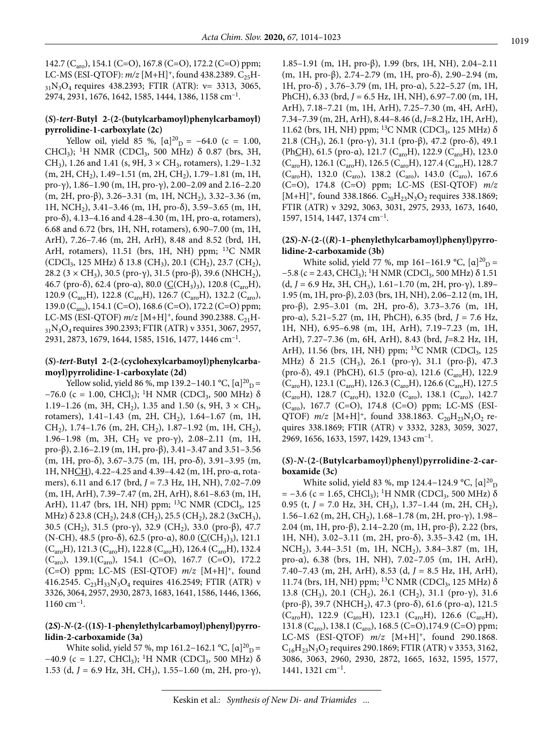142.7 (C<sub>aro</sub>), 154.1 (C=O), 167.8 (C=O), 172.2 (C=O) ppm; LC-MS (ESI-QTOF):  $m/z$  [M+H]<sup>+</sup>, found 438.2389. C<sub>25</sub>H- $_{31}N_3O_4$  requires 438.2393; FTIR (ATR):  $v=$  3313, 3065, 2974, 2931, 1676, 1642, 1585, 1444, 1386, 1158 cm–1.

#### **(***S***)-***tert***-Butyl 2-(2-(butylcarbamoyl)phenylcarbamoyl) pyrrolidine-1-carboxylate (2c)**

Yellow oil, yield 85 %,  $[\alpha]^{20}$ <sub>D</sub> = -64.0 (c = 1.00, CHCl<sub>3</sub>); <sup>1</sup>H NMR (CDCl<sub>3</sub>, 500 MHz) δ 0.87 (brs, 3H, CH<sub>3</sub>), 1.26 and 1.41 (s, 9H,  $3 \times$  CH<sub>3</sub>, rotamers), 1.29–1.32  $(m, 2H, CH<sub>2</sub>), 1.49-1.51$   $(m, 2H, CH<sub>2</sub>), 1.79-1.81$   $(m, 1H,$ pro-γ), 1.86–1.90 (m, 1H, pro-γ), 2.00–2.09 and 2.16–2.20 (m, 2H, pro- $\beta$ ), 3.26–3.31 (m, 1H, NCH<sub>2</sub>), 3.32–3.36 (m, 1H, NCH<sub>2</sub>), 3.41–3.46 (m, 1H, pro- $\delta$ ), 3.59–3.65 (m, 1H, pro-δ), 4.13–4.16 and 4.28–4.30 (m, 1H, pro-α, rotamers), 6.68 and 6.72 (brs, 1H, NH, rotamers), 6.90–7.00 (m, 1H, ArH), 7.26–7.46 (m, 2H, ArH), 8.48 and 8.52 (brd, 1H, ArH, rotamers), 11.51 (brs, 1H, NH) ppm; <sup>13</sup>C NMR (CDCl<sub>3</sub>, 125 MHz) δ 13.8 (CH<sub>3</sub>), 20.1 (CH<sub>2</sub>), 23.7 (CH<sub>2</sub>), 28.2 (3 × CH<sub>3</sub>), 30.5 (pro-γ), 31.5 (pro-β), 39.6 (NHCH<sub>2</sub>), 46.7 (pro-δ), 62.4 (pro-α), 80.0 ( $C(CH_3)$ <sub>3</sub>), 120.8 (C<sub>aro</sub>H), 120.9 (C<sub>aro</sub>H), 122.8 (C<sub>aro</sub>H), 126.7 (C<sub>aro</sub>H), 132.2 (C<sub>aro</sub>), 139.0 (C<sub>aro</sub>), 154.1 (C=O), 168.6 (C=O), 172.2 (C=O) ppm; LC-MS (ESI-QTOF)  $m/z$  [M+H]<sup>+</sup>, found 390.2388. C<sub>21</sub>H- $31N_3O_4$  requires 390.2393; FTIR (ATR) ν 3351, 3067, 2957, 2931, 2873, 1679, 1644, 1585, 1516, 1477, 1446 cm–1.

#### **(***S***)-***tert***-Butyl 2-(2-(cyclohexylcarbamoyl)phenylcarbamoyl)pyrrolidine-1-carboxylate (2d)**

Yellow solid, yield 86 %, mp 139.2–140.1 °C, [α]<sup>20</sup><sub>D</sub> =  $-76.0$  (c = 1.00, CHCl<sub>3</sub>); <sup>1</sup>H NMR (CDCl<sub>3</sub>, 500 MHz)  $\delta$ 1.19–1.26 (m, 3H, CH<sub>2</sub>), 1.35 and 1.50 (s, 9H, 3  $\times$  CH<sub>3</sub>, rotamers), 1.41-1.43 (m, 2H, CH<sub>2</sub>), 1.64-1.67 (m, 1H, CH<sub>2</sub>), 1.74–1.76 (m, 2H, CH<sub>2</sub>), 1.87–1.92 (m, 1H, CH<sub>2</sub>), 1.96–1.98 (m, 3H, CH<sub>2</sub> ve pro-γ), 2.08–2.11 (m, 1H, pro-β), 2.16–2.19 (m, 1H, pro-β), 3.41–3.47 and 3.51–3.56 (m, 1H, pro-δ), 3.67–3.75 (m, 1H, pro-δ), 3.91–3.95 (m, 1H, NHCH), 4.22–4.25 and 4.39–4.42 (m, 1H, pro-α, rotamers), 6.11 and 6.17 (brd, *J* = 7.3 Hz, 1H, NH), 7.02–7.09 (m, 1H, ArH), 7.39–7.47 (m, 2H, ArH), 8.61–8.63 (m, 1H, ArH), 11.47 (brs, 1H, NH) ppm; <sup>13</sup>C NMR (CDCl<sub>3</sub>, 125 MHz)  $\delta$  23.8 (CH<sub>2</sub>), 24.8 (CH<sub>2</sub>), 25.5 (CH<sub>2</sub>), 28.2 (3xCH<sub>3</sub>), 30.5 (CH<sub>2</sub>), 31.5 (pro-γ), 32.9 (CH<sub>2</sub>), 33.0 (pro-β), 47.7 (N-CH), 48.5 (pro-δ), 62.5 (pro-α), 80.0 ( $C(CH_3)_3$ ), 121.1  $(C_{\text{aro}}H)$ , 121.3  $(C_{\text{aro}}H)$ , 122.8  $(C_{\text{aro}}H)$ , 126.4  $(C_{\text{aro}}H)$ , 132.4  $(C_{\text{aro}})$ , 139.1 $(C_{\text{aro}})$ , 154.1  $(C=O)$ , 167.7  $(C=O)$ , 172.2 (C=O) ppm; LC-MS (ESI-QTOF) *m/z* [M+H]+, found 416.2545.  $C_{23}H_{33}N_3O_4$  requires 416.2549; FTIR (ATR) ν 3326, 3064, 2957, 2930, 2873, 1683, 1641, 1586, 1446, 1366,  $1160$  cm<sup>-1</sup>.

#### **(2***S***)-***N***-(2-((1***S***)-1-phenylethylcarbamoyl)phenyl)pyrrolidin-2-carboxamide (3a)**

White solid, yield 57 %, mp 161.2–162.1 °C, [ $\alpha$ ]<sup>20</sup><sub>D</sub> =  $-40.9$  (c = 1.27, CHCl<sub>3</sub>); <sup>1</sup>H NMR (CDCl<sub>3</sub>, 500 MHz)  $\delta$ 1.53 (d,  $J = 6.9$  Hz, 3H, CH<sub>3</sub>), 1.55–1.60 (m, 2H, pro-γ),

1.85–1.91 (m, 1H, pro-β), 1.99 (brs, 1H, NH), 2.04–2.11 (m, 1H, pro-β), 2.74–2.79 (m, 1H, pro-δ), 2.90–2.94 (m, 1H, pro-δ) , 3.76–3.79 (m, 1H, pro-α), 5.22–5.27 (m, 1H, PhCH), 6.33 (brd, *J* = 6.5 Hz, 1H, NH), 6.97–7.00 (m, 1H, ArH), 7.18–7.21 (m, 1H, ArH), 7.25–7.30 (m, 4H, ArH), 7.34–7.39 (m, 2H, ArH), 8.44–8.46 (d, *J*=8.2 Hz, 1H, ArH), 11.62 (brs, 1H, NH) ppm; <sup>13</sup>C NMR (CDCl<sub>3</sub>, 125 MHz) δ 21.8 (CH<sub>3</sub>), 26.1 (pro-γ), 31.1 (pro-β), 47.2 (pro-δ), 49.1 (PhCH), 61.5 (pro-α), 121.7 (C<sub>aro</sub>H), 122.9 (C<sub>aro</sub>H), 123.0  $(C_{\text{aro}}H)$ , 126.1  $(C_{\text{aro}}H)$ , 126.5  $(C_{\text{aro}}H)$ , 127.4  $(C_{\text{aro}}H)$ , 128.7  $(C_{\text{aro}}H)$ , 132.0  $(C_{\text{aro}})$ , 138.2  $(C_{\text{aro}})$ , 143.0  $(C_{\text{aro}})$ , 167.6 (C=O), 174.8 (C=O) ppm; LC-MS (ESI-QTOF) *m/z*  [M+H]<sup>+</sup>, found 338.1866.  $C_{20}H_{23}N_3O_2$  requires 338.1869; FTIR (ATR) ν 3292, 3063, 3031, 2975, 2933, 1673, 1640, 1597, 1514, 1447, 1374 cm–1.

#### **(2***S***)-***N***-(2-((***R***)-1–phenylethylcarbamoyl)phenyl)pyrrolidine-2-carboxamide (3b)**

White solid, yield 77 %, mp 161–161.9 °C,  $[\alpha]^{20}$ <sub>D</sub> =  $-5.8$  (c = 2.43, CHCl<sub>3</sub>); <sup>1</sup>H NMR (CDCl<sub>3</sub>, 500 MHz)  $\delta$  1.51 (d,  $J = 6.9$  Hz, 3H, CH<sub>3</sub>), 1.61–1.70 (m, 2H, pro- $\gamma$ ), 1.89– 1.95 (m, 1H, pro-β), 2.03 (brs, 1H, NH), 2.06–2.12 (m, 1H, pro-β), 2.95–3.01 (m, 2H, pro-δ), 3.73–3.76 (m, 1H, pro-α), 5.21–5.27 (m, 1H, PhCH), 6.35 (brd, *J* = 7.6 Hz, 1H, NH), 6.95–6.98 (m, 1H, ArH), 7.19–7.23 (m, 1H, ArH), 7.27–7.36 (m, 6H, ArH), 8.43 (brd, *J*=8.2 Hz, 1H, ArH), 11.56 (brs, 1H, NH) ppm; <sup>13</sup>C NMR (CDCl<sub>3</sub>, 125 MHz) δ 21.5 (CH<sub>3</sub>), 26.1 (pro-γ), 31.1 (pro-β), 47.3 (pro-δ), 49.1 (PhCH), 61.5 (pro-α), 121.6 (C<sub>aro</sub>H), 122.9  $(C_{\text{aro}}H)$ , 123.1  $(C_{\text{aro}}H)$ , 126.3  $(C_{\text{aro}}H)$ , 126.6  $(C_{\text{aro}}H)$ , 127.5 (C<sub>aro</sub>H), 128.7 (C<sub>aro</sub>H), 132.0 (C<sub>aro</sub>), 138.1 (C<sub>aro</sub>), 142.7  $(C_{\text{aro}})$ , 167.7 (C=O), 174.8 (C=O) ppm; LC-MS (ESI-QTOF)  $m/z$  [M+H]<sup>+</sup>, found 338.1863. C<sub>20</sub>H<sub>23</sub>N<sub>3</sub>O<sub>2</sub> requires 338.1869; FTIR (ATR) ν 3332, 3283, 3059, 3027, 2969, 1656, 1633, 1597, 1429, 1343 cm–1.

#### **(***S***)-***N***-(2-(Butylcarbamoyl)phenyl)pyrrolidine-2-carboxamide (3c)**

White solid, yield 83 %, mp 124.4–124.9 °C, [α]<sup>20</sup><sub>D</sub>  $= -3.6$  (c = 1.65, CHCl<sub>3</sub>); <sup>1</sup>H NMR (CDCl<sub>3</sub>, 500 MHz)  $\delta$ 0.95 (t, *J* = 7.0 Hz, 3H, CH<sub>3</sub>), 1.37-1.44 (m, 2H, CH<sub>2</sub>), 1.56–1.62 (m, 2H, CH<sub>2</sub>), 1.68–1.78 (m, 2H, pro-γ), 1.98– 2.04 (m, 1H, pro-β), 2.14–2.20 (m, 1H, pro-β), 2.22 (brs, 1H, NH), 3.02–3.11 (m, 2H, pro-δ), 3.35–3.42 (m, 1H, NCH<sub>2</sub>), 3.44–3.51 (m, 1H, NCH<sub>2</sub>), 3.84–3.87 (m, 1H, pro-α), 6.38 (brs, 1H, NH), 7.02–7.05 (m, 1H, ArH), 7.40–7.43 (m, 2H, ArH), 8.53 (d, *J* = 8.5 Hz, 1H, ArH), 11.74 (brs, 1H, NH) ppm; <sup>13</sup>C NMR (CDCl<sub>3</sub>, 125 MHz) δ 13.8 (CH<sub>3</sub>), 20.1 (CH<sub>2</sub>), 26.1 (CH<sub>2</sub>), 31.1 (pro-γ), 31.6 (pro-β), 39.7 (NHCH2), 47.3 (pro-δ), 61.6 (pro-α), 121.5  $(C_{\text{aro}}H)$ , 122.9  $(C_{\text{aro}}H)$ , 123.1  $(C_{\text{aro}}H)$ , 126.6  $(C_{\text{aro}}H)$ , 131.8 (C<sub>aro</sub>), 138.1 (C<sub>aro</sub>), 168.5 (C=O), 174.9 (C=O) ppm; LC-MS (ESI-QTOF) *m/z* [M+H]+, found 290.1868.  $C_{16}H_{23}N_3O_2$  requires 290.1869; FTIR (ATR) ν 3353, 3162, 3086, 3063, 2960, 2930, 2872, 1665, 1632, 1595, 1577, 1441, 1321 cm–1.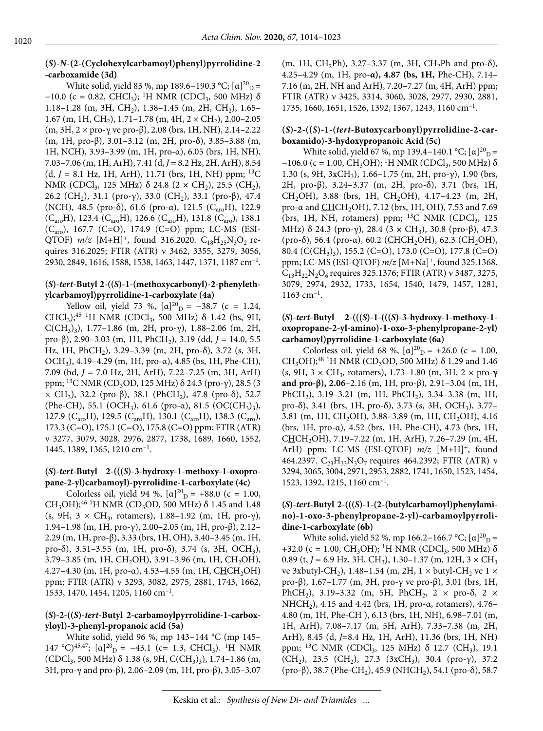#### **(***S***)-***N***-(2-(Cyclohexylcarbamoyl)phenyl)pyrrolidine-2 -carboxamide (3d)**

White solid, yield 83 %, mp 189.6–190.3 °C; [ $\alpha$ ]<sup>20</sup><sub>D</sub> =  $-10.0$  (c = 0.82, CHCl<sub>3</sub>); <sup>1</sup>H NMR (CDCl<sub>3</sub>, 500 MHz)  $\delta$ 1.18–1.28 (m, 3H, CH<sub>2</sub>), 1.38–1.45 (m, 2H, CH<sub>2</sub>), 1.65– 1.67 (m, 1H, CH<sub>2</sub>), 1.71–1.78 (m, 4H,  $2 \times$  CH<sub>2</sub>), 2.00–2.05 (m, 3H,  $2 \times$  pro- $\gamma$  ve pro- $\beta$ ), 2.08 (brs, 1H, NH), 2.14–2.22 (m, 1H, pro-β), 3.01–3.12 (m, 2H, pro-δ), 3.85–3.88 (m, 1H, NCH), 3.93–3.99 (m, 1H, pro-α), 6.05 (brs, 1H, NH), 7.03-7.06 (m, 1H, ArH), 7.41 (d,  $J = 8.2$  Hz, 2H, ArH), 8.54  $(d, J = 8.1 \text{ Hz}, 1H, ArH), 11.71 \text{ (brs, 1H, NH)}$  ppm; <sup>13</sup>C NMR (CDCl<sub>3</sub>, 125 MHz) δ 24.8 (2 × CH<sub>2</sub>), 25.5 (CH<sub>2</sub>), 26.2 (CH<sub>2</sub>), 31.1 (pro-γ), 33.0 (CH<sub>2</sub>), 33.1 (pro-β), 47.4 (NCH), 48.5 (pro-δ), 61.6 (pro-α), 121.5 ( $C_{\text{arc}}H$ ), 122.9  $(C_{\text{aro}}H)$ , 123.4  $(C_{\text{aro}}H)$ , 126.6  $(C_{\text{aro}}H)$ , 131.8  $(C_{\text{aro}})$ , 138.1 (Caro), 167.7 (C=O), 174.9 (C=O) ppm; LC-MS (ESI-QTOF)  $m/z$  [M+H]<sup>+</sup>, found 316.2020. C<sub>18</sub>H<sub>25</sub>N<sub>3</sub>O<sub>2</sub> requires 316.2025; FTIR (ATR) ν 3462, 3355, 3279, 3056, 2930, 2849, 1616, 1588, 1538, 1463, 1447, 1371, 1187 cm–1.

#### **(***S***)-***tert***-Butyl 2-((***S***)-1-(methoxycarbonyl)-2-phenylethylcarbamoyl)pyrrolidine-1-carboxylate (4a)**

Yellow oil, yield 73 %,  $[\alpha]^{20}$ <sub>D</sub> = -38.7 (c = 1.24, CHCl<sub>3</sub>);<sup>45 1</sup>H NMR (CDCl<sub>3</sub>, 500 MHz)  $\delta$  1.42 (bs, 9H, C(CH<sub>3</sub>)<sub>3</sub>), 1.77–1.86 (m, 2H, pro-γ), 1.88–2.06 (m, 2H, pro-β), 2.90–3.03 (m, 1H, PhCH<sub>2</sub>), 3.19 (dd, *J* = 14.0, 5.5 Hz, 1H, PhCH<sub>2</sub>), 3.29-3.39 (m, 2H, pro- $\delta$ ), 3.72 (s, 3H, OCH<sub>3</sub>), 4.19–4.29 (m, 1H, pro- $\alpha$ ), 4.85 (bs, 1H, Phe-CH), 7.09 (bd, *J* = 7.0 Hz, 2H, ArH), 7.22–7.25 (m, 3H, ArH) ppm; <sup>13</sup>C NMR (CD<sub>3</sub>OD, 125 MHz) δ 24.3 (pro-γ), 28.5 (3  $\times$  CH<sub>3</sub>), 32.2 (pro-β), 38.1 (PhCH<sub>2</sub>), 47.8 (pro-δ), 52.7 (Phe-CH), 55.1 (OCH<sub>3</sub>), 61.6 (pro-α), 81.5 (OC(CH<sub>3</sub>)<sub>3</sub>), 127.9 (C<sub>aro</sub>H), 129.5 (C<sub>aro</sub>H), 130.1 (C<sub>aro</sub>H), 138.3 (C<sub>aro</sub>), 173.3 (C=O), 175.1 (C=O), 175.8 (C=O) ppm; FTIR (ATR) ν 3277, 3079, 3028, 2976, 2877, 1738, 1689, 1660, 1552, 1445, 1389, 1365, 1210 cm–1.

#### **(***S***)-***tert***-Butyl 2-(((***S***)-3-hydroxy-1-methoxy-1-oxopropane-2-yl)carbamoyl)-pyrrolidine-1-carboxylate (4c)**

Colorless oil, yield 94 %,  $[\alpha]^{20}$ <sub>D</sub> = +88.0 (c = 1.00, CH<sub>3</sub>OH);<sup>46 1</sup>H NMR (CD<sub>3</sub>OD, 500 MHz)  $\delta$  1.45 and 1.48 (s, 9H, 3  $\times$  CH<sub>3</sub>, rotamers), 1.88–1.92 (m, 1H, pro-γ), 1.94–1.98 (m, 1H, pro-γ), 2.00–2.05 (m, 1H, pro-β), 2.12– 2.29 (m, 1H, pro-β), 3.33 (brs, 1H, OH), 3.40–3.45 (m, 1H, pro-δ), 3.51–3.55 (m, 1H, pro-δ), 3.74 (s, 3H, OCH<sub>3</sub>),  $3.79-3.85$  (m, 1H, CH<sub>2</sub>OH),  $3.91-3.96$  (m, 1H, CH<sub>2</sub>OH), 4.27-4.30 (m, 1H, pro-α), 4.53-4.55 (m, 1H, CHCH<sub>2</sub>OH) ppm; FTIR (ATR) ν 3293, 3082, 2975, 2881, 1743, 1662, 1533, 1470, 1454, 1205, 1160 cm–1.

#### **(***S***)-2-((***S***)-***tert***-Butyl 2-carbamoylpyrrolidine-1-carboxyloyl)-3-phenyl-propanoic acid (5a)**

White solid, yield 96 %, mp 143−144 °C (mp 145– 147 °C)<sup>45,47</sup>; [ $\alpha$ ]<sup>20</sup><sub>D</sub> = -43.1 (c= 1.3, CHCl<sub>3</sub>). <sup>1</sup>H NMR (CDCl<sub>3</sub>, 500 MHz)  $\delta$  1.38 (s, 9H, C(CH<sub>3</sub>)<sub>3</sub>), 1.74–1.86 (m, 3H, pro-γ and pro-β), 2.06–2.09 (m, 1H, pro-β), 3.05–3.07

(m, 1H, CH<sub>2</sub>Ph), 3.27–3.37 (m, 3H, CH<sub>2</sub>Ph and pro- $\delta$ ), 4.25–4.29 (m, 1H, pro-**α), 4.87 (bs, 1H,** Phe-CH), 7.14– 7.16 (m, 2H, NH and ArH), 7.20–7.27 (m, 4H, ArH) ppm; FTIR (ATR) ν 3425, 3314, 3060, 3028, 2977, 2930, 2881, 1735, 1660, 1651, 1526, 1392, 1367, 1243, 1160 cm–1.

#### **(***S***)-2-((***S***)-1-(***tert***-Butoxycarbonyl)pyrrolidine-2-carboxamido)-3-hydoxypropanoic Acid (5c)**

White solid, yield 67 %, mp 139.4–140.1 °C; [ $\alpha$ ]<sup>20</sup><sub>D</sub>=  $-106.0$  (c = 1.00, CH<sub>3</sub>OH); <sup>1</sup>H NMR (CDCl<sub>3</sub>, 500 MHz)  $\delta$ 1.30 (s, 9H, 3xCH3), 1.66–1.75 (m, 2H, pro-γ), 1.90 (brs, 2H, pro-β), 3.24–3.37 (m, 2H, pro-δ), 3.71 (brs, 1H, CH<sub>2</sub>OH), 3.88 (brs, 1H, CH<sub>2</sub>OH), 4.17-4.23 (m, 2H, pro-α and CHCH2OH), 7.12 (brs, 1H, OH), 7.53 and 7.69 (brs, 1H, NH, rotamers) ppm;  $^{13}C$  NMR (CDCl<sub>3</sub>, 125 MHz) δ 24.3 (pro-γ), 28.4 (3 × CH<sub>3</sub>), 30.8 (pro-β), 47.3 (pro-δ), 56.4 (pro-α), 60.2 (CHCH<sub>2</sub>OH), 62.3 (CH<sub>2</sub>OH), 80.4 (C(CH<sub>3</sub>)<sub>3</sub>), 155.2 (C=O), 173.0 (C=O), 177.8 (C=O) ppm; LC-MS (ESI-QTOF) *m/z* [M+Na]+, found 325.1368.  $C_{13}H_{22}N_{2}O_{6}$  requires 325.1376; FTIR (ATR) ν 3487, 3275, 3079, 2974, 2932, 1733, 1654, 1540, 1479, 1457, 1281, 1163 cm–1.

#### **(***S***)-***tert***-Butyl 2-(((***S***)-1-(((***S***)-3-hydroxy-1-methoxy-1 oxopropane-2-yl-amino)-1-oxo-3-phenylpropane-2-yl) carbamoyl)pyrrolidine-1-carboxylate (6a)**

Colorless oil, yield 68 %,  $[\alpha]^{20}$ <sub>D</sub> = +26.0 (c = 1.00, CH<sub>3</sub>OH);<sup>48 1</sup>H NMR (CD<sub>3</sub>OD, 500 MHz)  $\delta$  1.29 and 1.46 (s, 9H, 3 × CH3, rotamers), 1.73–1.80 (m, 3H, 2 × pro-**γ and pro-β), 2.06**–2.16 (m, 1H, pro-β), 2.91–3.04 (m, 1H, PhCH<sub>2</sub>), 3.19–3.21 (m, 1H, PhCH<sub>2</sub>), 3.34–3.38 (m, 1H, pro-δ), 3.41 (brs, 1H, pro-δ), 3.73 (s, 3H, OCH<sub>3</sub>), 3.77– 3.81 (m, 1H, CH<sub>2</sub>OH), 3.88-3.89 (m, 1H, CH<sub>2</sub>OH), 4.16 (brs, 1H, pro-α), 4.52 (brs, 1H, Phe-CH), 4.73 (brs, 1H, CHCH2OH), 7.19–7.22 (m, 1H, ArH), 7.26–7.29 (m, 4H, ArH) ppm; LC-MS (ESI-QTOF)  $m/z$  [M+H]<sup>+</sup>, found 464.2397.  $C_{23}H_{33}N_3O_7$  requires 464.2392; FTIR (ATR) ν 3294, 3065, 3004, 2971, 2953, 2882, 1741, 1650, 1523, 1454, 1523, 1392, 1215, 1160 cm–1.

#### **(***S***)-***tert***-Butyl 2-(((***S***)-1-(2-(butylcarbamoyl)phenylamino)-1-oxo-3-phenylpropane-2-yl)-carbamoylpyrrolidine-1-carboxylate (6b)**

White solid, yield 52 %, mp 166.2–166.7 °C; [ $\alpha$ ]<sup>20</sup><sub>D</sub> = +32.0 (c = 1.00, CH<sub>3</sub>OH); <sup>1</sup>H NMR (CDCl<sub>3</sub>, 500 MHz)  $\delta$ 0.89 (t,  $J = 6.9$  Hz, 3H, CH<sub>3</sub>), 1.30–1.37 (m, 12H, 3  $\times$  CH<sub>3</sub> ve 3xbutyl-CH<sub>2</sub>), 1.48–1.54 (m, 2H, 1  $\times$  butyl-CH<sub>2</sub> ve 1  $\times$ pro-β), 1.67–1.77 (m, 3H, pro-γ ve pro-β), 3.01 (brs, 1H, PhCH<sub>2</sub>), 3.19–3.32 (m, 5H, PhCH<sub>2</sub>, 2  $\times$  pro- $\delta$ , 2  $\times$ NHCH2), 4.15 and 4.42 (brs, 1H, pro-α, rotamers), 4.76– 4.80 (m, 1H, Phe-CH ), 6.13 (brs, 1H, NH), 6.98–7.01 (m, 1H, ArH), 7.08–7.17 (m, 5H, ArH), 7.33–7.38 (m, 2H, ArH), 8.45 (d, *J*=8.4 Hz, 1H, ArH), 11.36 (brs, 1H, NH) ppm; <sup>13</sup>C NMR (CDCl<sub>3</sub>, 125 MHz) δ 12.7 (CH<sub>3</sub>), 19.1 (CH<sub>2</sub>), 23.5 (CH<sub>2</sub>), 27.3 (3xCH<sub>3</sub>), 30.4 (pro-γ), 37.2 (pro-β), 38.7 (Phe-CH<sub>2</sub>), 45.9 (NHCH<sub>2</sub>), 54.1 (pro-δ), 58.7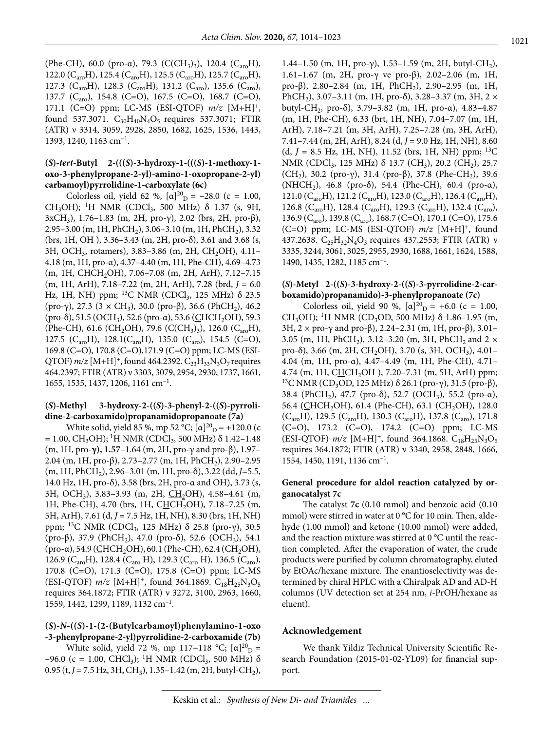(Phe-CH), 60.0 (pro-α), 79.3 (C(CH<sub>3</sub>)<sub>3</sub>), 120.4 (C<sub>aro</sub>H), 122.0 (C<sub>aro</sub>H), 125.4 (C<sub>aro</sub>H), 125.5 (C<sub>aro</sub>H), 125.7 (C<sub>aro</sub>H), 127.3 ( $C_{\text{aro}}H$ ), 128.3 ( $C_{\text{aro}}H$ ), 131.2 ( $C_{\text{aro}}$ ), 135.6 ( $C_{\text{aro}}$ ), 137.7 (C<sub>aro</sub>), 154.8 (C=O), 167.5 (C=O), 168.7 (C=O), 171.1 (C=O) ppm; LC-MS (ESI-QTOF) *m/z* [M+H]+, found 537.3071.  $C_{30}H_{40}N_4O_5$  requires 537.3071; FTIR (ATR) ν 3314, 3059, 2928, 2850, 1682, 1625, 1536, 1443, 1393, 1240, 1163 cm–1.

#### **(***S***)-***tert***-Butyl 2-(((***S***)-3-hydroxy-1-(((***S***)-1-methoxy-1 oxo-3-phenylpropane-2-yl)-amino-1-oxopropane-2-yl) carbamoyl)pyrrolidine-1-carboxylate (6c)**

Colorless oil, yield 62 %,  $[\alpha]^{20}$ <sub>D</sub> = -28.0 (c = 1.00, CH<sub>3</sub>OH); <sup>1</sup>H NMR (CDCl<sub>3</sub>, 500 MHz) δ 1.37 (s, 9H, 3xCH<sub>3</sub>), 1.76–1.83 (m, 2H, pro-γ), 2.02 (brs, 2H, pro-β), 2.95–3.00 (m, 1H, PhCH<sub>2</sub>), 3.06–3.10 (m, 1H, PhCH<sub>2</sub>), 3.32 (brs, 1H, OH ), 3.36–3.43 (m, 2H, pro-δ), 3.61 and 3.68 (s, 3H, OCH<sub>3</sub>, rotamers), 3.83-3.86 (m, 2H, CH<sub>2</sub>OH), 4.11-4.18 (m, 1H, pro-α), 4.37–4.40 (m, 1H, Phe-CH), 4.69–4.73 (m, 1H, CHCH<sub>2</sub>OH), 7.06-7.08 (m, 2H, ArH), 7.12-7.15 (m, 1H, ArH), 7.18–7.22 (m, 2H, ArH), 7.28 (brd,  $J = 6.0$ Hz, 1H, NH) ppm; <sup>13</sup>C NMR (CDCl<sub>3</sub>, 125 MHz) δ 23.5 (pro-γ), 27.3 (3 × CH<sub>3</sub>), 30.0 (pro-β), 36.6 (PhCH<sub>2</sub>), 46.2 (pro-δ), 51.5 (OCH<sub>3</sub>), 52.6 (pro-α), 53.6 (CHCH<sub>2</sub>OH), 59.3 (Phe-CH), 61.6 (CH<sub>2</sub>OH), 79.6 (C(CH<sub>3</sub>)<sub>3</sub>), 126.0 (C<sub>aro</sub>H), 127.5 (C<sub>aro</sub>H), 128.1(C<sub>aro</sub>H), 135.0 (C<sub>aro</sub>), 154.5 (C=O), 169.8 (C=O), 170.8 (C=O),171.9 (C=O) ppm; LC-MS (ESI-QTOF)  $m/z$  [M+H]<sup>+</sup>, found 464.2392.  $C_{23}H_{33}N_3O_7$  requires 464.2397; FTIR (ATR) ν 3303, 3079, 2954, 2930, 1737, 1661, 1655, 1535, 1437, 1206, 1161 cm–1.

#### **(***S***)-Methyl 3-hydroxy-2-((***S***)-3-phenyl-2-((***S***)-pyrrolidine-2-carboxamido)propanamidopropanoate (7a)**

White solid, yield 85 %, mp 52 °C;  $[\alpha]_{D}^{20}$  = +120.0 (c  $= 1.00$ , CH<sub>3</sub>OH); <sup>1</sup>H NMR (CDCl<sub>3</sub>, 500 MHz)  $\delta$  1.42–1.48 (m, 1H, pro-**γ), 1.57**–1.64 (m, 2H, pro-γ and pro-β), 1.97– 2.04 (m, 1H, pro-β), 2.73–2.77 (m, 1H, PhCH<sub>2</sub>), 2.90–2.95 (m, 1H, PhCH2), 2.96–3.01 (m, 1H, pro-δ), 3.22 (dd, *J*=5.5, 14.0 Hz, 1H, pro-δ), 3.58 (brs, 2H, pro-α and OH), 3.73 (s, 3H, OCH<sub>3</sub>), 3.83–3.93 (m, 2H, CH<sub>2</sub>OH), 4.58–4.61 (m, 1H, Phe-CH), 4.70 (brs, 1H, CHCH<sub>2</sub>OH), 7.18-7.25 (m, 5H, ArH), 7.61 (d, *J* = 7.5 Hz, 1H, NH), 8.30 (brs, 1H, NH) ppm; <sup>13</sup>C NMR (CDCl<sub>3</sub>, 125 MHz) δ 25.8 (pro-γ), 30.5 (pro-β), 37.9 (PhCH<sub>2</sub>), 47.0 (pro-δ), 52.6 (OCH<sub>3</sub>), 54.1 (pro-α), 54.9 (CHCH<sub>2</sub>OH), 60.1 (Phe-CH), 62.4 (CH<sub>2</sub>OH), 126.9 (C<sub>aro</sub>H), 128.4 (C<sub>aro</sub> H), 129.3 (C<sub>aro</sub> H), 136.5 (C<sub>aro</sub>), 170.8 (C=O), 171.3 (C=O), 175.8 (C=O) ppm; LC-MS (ESI-QTOF)  $m/z$  [M+H]<sup>+</sup>, found 364.1869. C<sub>18</sub>H<sub>25</sub>N<sub>3</sub>O<sub>5</sub> requires 364.1872; FTIR (ATR) ν 3272, 3100, 2963, 1660, 1559, 1442, 1299, 1189, 1132 cm–1.

#### **(***S***)-***N***-((***S***)-1-(2-(Butylcarbamoyl)phenylamino-1-oxo -3-phenylpropane-2-yl)pyrrolidine-2-carboxamide (7b)**

White solid, yield 72 %, mp 117-118 °C; [ $\alpha$ ]<sup>20</sup><sub>D</sub> = –96.0 (c = 1.00, CHCl<sub>3</sub>); <sup>1</sup>H NMR (CDCl<sub>3</sub>, 500 MHz) δ 0.95 (t,  $J = 7.5$  Hz,  $3H$ , CH<sub>3</sub>), 1.35–1.42 (m, 2H, butyl-CH<sub>2</sub>),

1.44–1.50 (m, 1H, pro-γ), 1.53–1.59 (m, 2H, butyl-CH<sub>2</sub>), 1.61–1.67 (m, 2H, pro-γ ve pro-β), 2.02–2.06 (m, 1H, pro-β), 2.80–2.84 (m, 1H, PhCH<sub>2</sub>), 2.90–2.95 (m, 1H, PhCH<sub>2</sub>), 3.07–3.11 (m, 1H, pro-δ), 3.28–3.37 (m, 3H, 2  $\times$ butyl-CH2, pro-δ), 3.79–3.82 (m, 1H, pro-α), 4.83–4.87 (m, 1H, Phe-CH), 6.33 (brt, 1H, NH), 7.04–7.07 (m, 1H, ArH), 7.18–7.21 (m, 3H, ArH), 7.25–7.28 (m, 3H, ArH), 7.41–7.44 (m, 2H, ArH), 8.24 (d, *J* = 9.0 Hz, 1H, NH), 8.60  $(d, J = 8.5 \text{ Hz}, 1H, \text{NH})$ , 11.52 (brs, 1H, NH) ppm; <sup>13</sup>C NMR (CDCl<sub>3</sub>, 125 MHz) δ 13.7 (CH<sub>3</sub>), 20.2 (CH<sub>2</sub>), 25.7 (CH<sub>2</sub>), 30.2 (pro-γ), 31.4 (pro-β), 37.8 (Phe-CH<sub>2</sub>), 39.6 (NHCH<sub>2</sub>), 46.8 (pro-δ), 54.4 (Phe-CH), 60.4 (pro-α), 121.0 ( $C_{\text{aro}}H$ ), 121.2 ( $C_{\text{aro}}H$ ), 123.0 ( $C_{\text{aro}}H$ ), 126.4 ( $C_{\text{aro}}H$ ), 126.8 (C<sub>aro</sub>H), 128.4 (C<sub>aro</sub>H), 129.3 (C<sub>aro</sub>H), 132.4 (C<sub>aro</sub>), 136.9 (C<sub>aro</sub>), 139.8 (C<sub>aro</sub>), 168.7 (C=O), 170.1 (C=O), 175.6 (C=O) ppm; LC-MS (ESI-QTOF) *m/z* [M+H]+, found 437.2638.  $C_{25}H_{32}N_4O_3$  requires 437.2553; FTIR (ATR) ν 3335, 3244, 3061, 3025, 2955, 2930, 1688, 1661, 1624, 1588, 1490, 1435, 1282, 1185 cm–1.

#### **(***S***)-Metyl 2-((***S***)-3-hydroxy-2-((***S***)-3-pyrrolidine-2-carboxamido)propanamido)-3-phenylpropanoate (7c)**

Colorless oil, yield 90 %,  $[\alpha]^{20}$ <sub>D</sub> = +6.0 (c = 1.00, CH<sub>3</sub>OH); <sup>1</sup>H NMR (CD<sub>3</sub>OD, 500 MHz) δ 1.86-1.95 (m, 3H,  $2 \times$  pro-γ and pro-β), 2.24–2.31 (m, 1H, pro-β), 3.01– 3.05 (m, 1H, PhCH<sub>2</sub>), 3.12–3.20 (m, 3H, PhCH<sub>2</sub> and 2  $\times$ pro-δ), 3.66 (m, 2H, CH<sub>2</sub>OH), 3.70 (s, 3H, OCH<sub>3</sub>), 4.01-4.04 (m, 1H, pro-α), 4.47–4.49 (m, 1H, Phe-CH), 4.71– 4.74 (m, 1H, CHCH<sub>2</sub>OH ), 7.20–7.31 (m, 5H, ArH) ppm; <sup>13</sup>C NMR (CD<sub>3</sub>OD, 125 MHz) δ 26.1 (pro-γ), 31.5 (pro-β), 38.4 (PhCH<sub>2</sub>), 47.7 (pro-δ), 52.7 (OCH<sub>3</sub>), 55.2 (pro-α), 56.4 (CHCH<sub>2</sub>OH), 61.4 (Phe-CH), 63.1 (CH<sub>2</sub>OH), 128.0  $(C_{\text{aro}}H)$ , 129.5  $(C_{\text{aro}}H)$ , 130.3  $(C_{\text{aro}}H)$ , 137.8  $(C_{\text{aro}})$ , 171.8 (C=O), 173.2 (C=O), 174.2 (C=O) ppm; LC-MS (ESI-QTOF)  $m/z$  [M+H]<sup>+</sup>, found 364.1868. C<sub>18</sub>H<sub>25</sub>N<sub>3</sub>O<sub>5</sub> requires 364.1872; FTIR (ATR) ν 3340, 2958, 2848, 1666, 1554, 1450, 1191, 1136 cm–1.

#### **General procedure for aldol reaction catalyzed by organocatalyst 7c**

The catalyst **7c** (0.10 mmol) and benzoic acid (0.10 mmol) were stirred in water at 0 °C for 10 min. Then, aldehyde (1.00 mmol) and ketone (10.00 mmol) were added, and the reaction mixture was stirred at 0 °C until the reaction completed. After the evaporation of water, the crude products were purified by column chromatography, eluted by EtOAc/hexane mixture. The enantioselectivity was determined by chiral HPLC with a Chiralpak AD and AD-H columns (UV detection set at 254 nm, *i*-PrOH/hexane as eluent).

#### **Acknowledgement**

We thank Yildiz Technical University Scientific Research Foundation (2015-01-02-YL09) for financial support.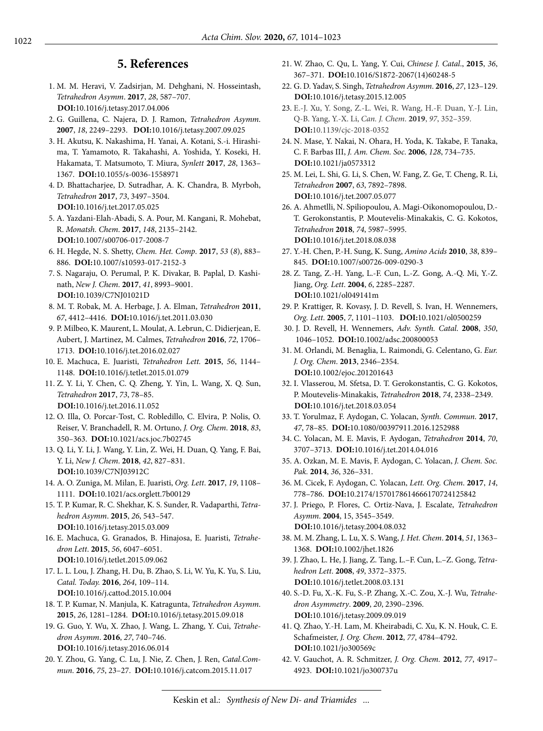## **5. References**

- 1. M. M. Heravi, V. Zadsirjan, M. Dehghani, N. Hosseintash, *Tetrahedron Asymm*. **2017**, *28*, 587–707. **DOI:**[10.1016/j.tetasy.2017.04.006](https://doi.org/10.1016/j.tetasy.2017.04.006)
- 2. G. Guillena, C. Najera, D. J. Ramon, *Tetrahedron Asymm*. **2007**, *18*, 2249–2293. **DOI:**[10.1016/j.tetasy.2007.09.025](https://doi.org/10.1016/j.tetasy.2007.09.025)
- 3. H. Akutsu, K. Nakashima, H. Yanai, A. Kotani, S.-i. Hirashima, T. Yamamoto, R. Takahashi, A. Yoshida, Y. Koseki, H. Hakamata, T. Matsumoto, T. Miura, *Synlett* **2017**, *28*, 1363– 1367. **DOI:**[10.1055/s-0036-1558971](https://doi.org/10.1055/s-0036-1558971)
- 4. D. Bhattacharjee, D. Sutradhar, A. K. Chandra, B. Myrboh, *Tetrahedron* **2017**, *73*, 3497–3504. **DOI:**[10.1016/j.tet.2017.05.025](https://doi.org/10.1016/j.tet.2017.05.025)
- 5. A. Yazdani-Elah-Abadi, S. A. Pour, M. Kangani, R. Mohebat, R. *Monatsh. Chem*. **2017**, *148*, 2135–2142. **DOI:**[10.1007/s00706-017-2008-7](https://doi.org/10.1007/s00706-017-2008-7)
- 6. H. Hegde, N. S. Shetty, *Chem. Het. Comp*. **2017**, *53* (*8*), 883– 886. **DOI:**[10.1007/s10593-017-2152-3](https://doi.org/10.1007/s10593-017-2152-3)
- 7. S. Nagaraju, O. Perumal, P. K. Divakar, B. Paplal, D. Kashinath, *New J. Chem*. **2017**, *41*, 8993–9001. **DOI:**[10.1039/C7NJ01021D](https://doi.org/10.1039/C7NJ01021D)
- 8. M. T. Robak, M. A. Herbage, J. A. Elman, *Tetrahedron* **2011**, *67*, 4412–4416. **DOI:**[10.1016/j.tet.2011.03.030](https://doi.org/10.1016/j.tet.2011.03.030)
- 9. P. Milbeo, K. Maurent, L. Moulat, A. Lebrun, C. Didierjean, E. Aubert, J. Martinez, M. Calmes, *Tetrahedron* **2016**, *72*, 1706– 1713. **DOI:**[10.1016/j.tet.2016.02.027](https://doi.org/10.1016/j.tet.2016.02.027)
- 10. E. Machuca, E. Juaristi, *Tetrahedron Lett.* **2015**, *56*, 1144– 1148. **DOI:**[10.1016/j.tetlet.2015.01.079](https://doi.org/10.1016/j.tetlet.2015.01.079)
- 11. Z. Y. Li, Y. Chen, C. Q. Zheng, Y. Yin, L. Wang, X. Q. Sun, *Tetrahedron* **2017**, *73*, 78–85. **DOI:**[10.1016/j.tet.2016.11.052](https://doi.org/10.1016/j.tet.2016.11.052)
- 12. O. Illa, O. Porcar-Tost, C. Robledillo, C. Elvira, P. Nolis, O. Reiser, V. Branchadell, R. M. Ortuno, *J. Org. Chem*. **2018**, *83*, 350–363. **DOI:**[10.1021/acs.joc.7b02745](https://doi.org/10.1021/acs.joc.7b02745)
- 13. Q. Li, Y. Li, J. Wang, Y. Lin, Z. Wei, H. Duan, Q. Yang, F. Bai, Y. Li, *New J. Chem*. **2018**, *42*, 827–831. **DOI:**[10.1039/C7NJ03912C](https://doi.org/10.1039/C7NJ03912C)
- 14. A. O. Zuniga, M. Milan, E. Juaristi, *Org. Lett*. **2017**, *19*, 1108– 1111. **DOI:**[10.1021/acs.orglett.7b00129](https://doi.org/10.1021/acs.orglett.7b00129)
- 15. T. P. Kumar, R. C. Shekhar, K. S. Sunder, R. Vadaparthi, *Tetrahedron Asymm*. **2015**, *26*, 543–547. **DOI:**[10.1016/j.tetasy.2015.03.009](https://doi.org/10.1016/j.tetasy.2015.03.009)
- 16. E. Machuca, G. Granados, B. Hinajosa, E. Juaristi, *Tetrahedron Lett*. **2015**, *56*, 6047–6051. **DOI:**[10.1016/j.tetlet.2015.09.062](https://doi.org/10.1016/j.tetlet.2015.09.062)
- 17. L. L. Lou, J. Zhang, H. Du, B. Zhao, S. Li, W. Yu, K. Yu, S. Liu, *Catal. Today.* **2016**, *264*, 109–114. **DOI:**[10.1016/j.cattod.2015.10.004](https://doi.org/10.1016/j.cattod.2015.10.004)
- 18. T. P. Kumar, N. Manjula, K. Katragunta, *Tetrahedron Asymm*. **2015**, *26*, 1281–1284. **DOI:**[10.1016/j.tetasy.2015.09.018](https://doi.org/10.1016/j.tetasy.2015.09.018)
- 19. G. Guo, Y. Wu, X. Zhao, J. Wang, L. Zhang, Y. Cui, *Tetrahedron Asymm*. **2016**, *27*, 740–746. **DOI:**[10.1016/j.tetasy.2016.06.014](https://doi.org/10.1016/j.tetasy.2016.06.014)
- 20. Y. Zhou, G. Yang, C. Lu, J. Nie, Z. Chen, J. Ren, *Catal.Commun*. **2016**, *75*, 23–27. **DOI:**[10.1016/j.catcom.2015.11.017](https://doi.org/10.1016/j.catcom.2015.11.017)
- 21. W. Zhao, C. Qu, L. Yang, Y. Cui, *Chinese J. Catal*., **2015**, *36*, 367–371. **DOI:**[10.1016/S1872-2067\(14\)60248-5](https://doi.org/10.1016/S1872-2067(14)60248-5)
- 22. G. D. Yadav, S. Singh, *Tetrahedron Asymm*. **2016**, *27*, 123–129. **DOI:**[10.1016/j.tetasy.2015.12.005](https://doi.org/10.1016/j.tetasy.2015.12.005)
- 23. E.-J. Xu, Y. Song, Z.-L. Wei, R. Wang, H.-F. Duan, Y.-J. Lin, Q-B. Yang, Y.-X. Li, *Can. J. Chem*. **2019**, *97*, 352–359. **DOI:**[10.1139/cjc-2018-0352](https://doi.org/10.1139/cjc-2018-0352)
- 24. N. Mase, Y. Nakai, N. Ohara, H. Yoda, K. Takabe, F. Tanaka, C. F. Barbas III, *J. Am. Chem. Soc*. **2006**, *128*, 734–735. **DOI:**[10.1021/ja0573312](https://doi.org/10.1021/ja0573312)
- 25. M. Lei, L. Shi, G. Li, S. Chen, W. Fang, Z. Ge, T. Cheng, R. Li, *Tetrahedron* **2007**, *63*, 7892–7898. **DOI:**[10.1016/j.tet.2007.05.077](https://doi.org/10.1016/j.tet.2007.05.077)
- 26. A. Ahmetlli, N. Spiliopoulou, A. Magi-Oikonomopoulou, D.- T. Gerokonstantis, P. Moutevelis-Minakakis, C. G. Kokotos, *Tetrahedron* **2018**, *74*, 5987–5995. **DOI:**[10.1016/j.tet.2018.08.038](https://doi.org/10.1016/j.tet.2018.08.038)
- 27. Y.-H. Chen, P.-H. Sung, K. Sung, *Amino Acids* **2010**, *38*, 839– 845. **DOI:**[10.1007/s00726-009-0290-3](https://doi.org/10.1007/s00726-009-0290-3)
- 28. Z. Tang, Z.-H. Yang, L.-F. Cun, L.-Z. Gong, A.-Q. Mi, Y.-Z. Jiang, *Org. Lett*. **2004**, *6*, 2285–2287. **DOI:**[10.1021/ol049141m](https://doi.org/10.1021/ol049141m)
- 29. P. Krattiger, R. Kovasy, J. D. Revell, S. Ivan, H. Wennemers, *Org. Lett*. **2005**, *7*, 1101–1103. **DOI:**[10.1021/ol0500259](https://doi.org/10.1021/ol0500259)
- 30. J. D. Revell, H. Wennemers, *Adv. Synth. Catal*. **2008**, *350*, 1046–1052. **DOI:**[10.1002/adsc.200800053](https://doi.org/10.1002/adsc.200800053)
- 31. M. Orlandi, M. Benaglia, L. Raimondi, G. Celentano, G. *Eur. J. Org. Chem*. **2013**, 2346–2354. **DOI:**[10.1002/ejoc.201201643](https://doi.org/10.1002/ejoc.201201643)
- 32. I. Vlasserou, M. Sfetsa, D. T. Gerokonstantis, C. G. Kokotos, P. Moutevelis-Minakakis, *Tetrahedron* **2018**, *74*, 2338–2349. **DOI:**[10.1016/j.tet.2018.03.054](https://doi.org/10.1016/j.tet.2018.03.054)
- 33. T. Yorulmaz, F. Aydogan, C. Yolacan, *Synth. Commun*. **2017**, *47*, 78–85. **DOI:**[10.1080/00397911.2016.1252988](https://doi.org/10.1080/00397911.2016.1252988)
- 34. C. Yolacan, M. E. Mavis, F. Aydogan, *Tetrahedron* **2014**, *70*, 3707–3713. **DOI:**[10.1016/j.tet.2014.04.016](https://doi.org/10.1016/j.tet.2014.04.016)
- 35. A. Ozkan, M. E. Mavis, F. Aydogan, C. Yolacan, *J. Chem. Soc. Pak.* **2014**, *36*, 326–331.
- 36. M. Cicek, F. Aydogan, C. Yolacan, *Lett. Org. Chem*. **2017**, *14*, 778–786. **DOI:**[10.2174/1570178614666170724125842](https://doi.org/10.2174/1570178614666170724125842)
- 37. J. Priego, P. Flores, C. Ortiz-Nava, J. Escalate, *Tetrahedron Asymm*. **2004**, 15, 3545–3549. **DOI:**[10.1016/j.tetasy.2004.08.032](https://doi.org/10.1016/j.tetasy.2004.08.032)
- 38. M. M. Zhang, L. Lu, X. S. Wang, *J. Het. Chem*. **2014**, *51*, 1363– 1368. **DOI:**[10.1002/jhet.1826](https://doi.org/10.1002/jhet.1826)
- 39. J. Zhao, L. He, J. Jiang, Z. Tang, L.–F. Cun, L.–Z. Gong, *Tetrahedron Lett*. **2008**, *49*, 3372–3375. **DOI:**[10.1016/j.tetlet.2008.03.131](https://doi.org/10.1016/j.tetlet.2008.03.131)
- 40. S.-D. Fu, X.-K. Fu, S.-P. Zhang, X.-C. Zou, X.-J. Wu, *Tetrahedron Asymmetry*. **2009**, *20*, 2390–2396. **DOI:**[10.1016/j.tetasy.2009.09.019](https://doi.org/10.1016/j.tetasy.2009.09.019)
- 41. Q. Zhao, Y.-H. Lam, M. Kheirabadi, C. Xu, K. N. Houk, C. E. Schafmeister, *J. Org. Chem*. **2012**, *77*, 4784–4792. **DOI:**[10.1021/jo300569c](https://doi.org/10.1021/jo300569c)
- 42. V. Gauchot, A. R. Schmitzer, *J. Org. Chem.* **2012**, *77*, 4917– 4923. **DOI:**[10.1021/jo300737u](https://doi.org/10.1021/jo300737u)